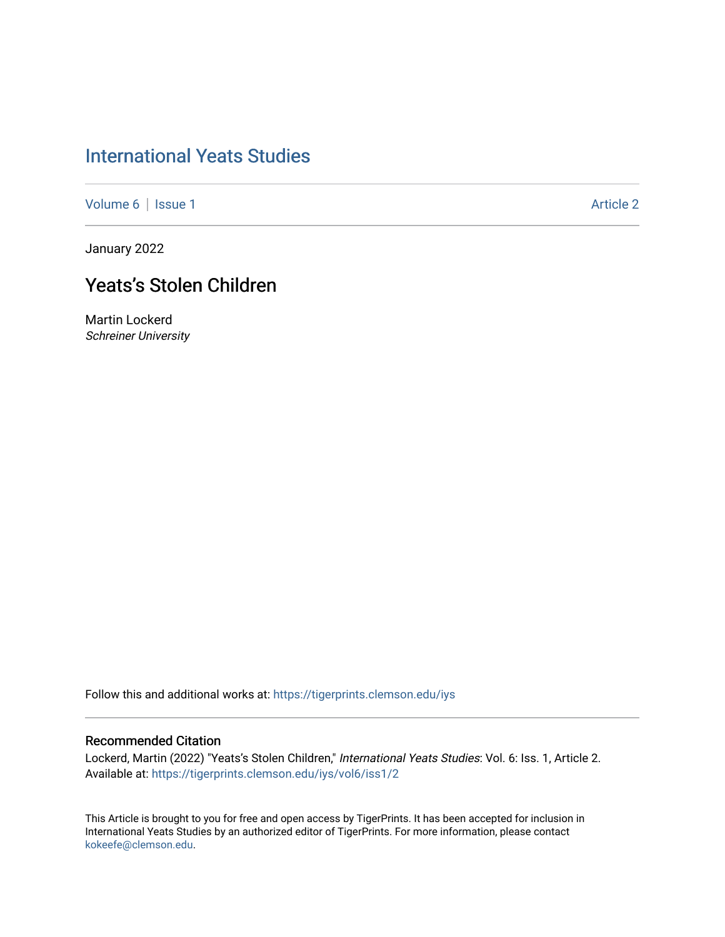[Volume 6](https://tigerprints.clemson.edu/iys/vol6) | [Issue 1](https://tigerprints.clemson.edu/iys/vol6/iss1) Article 2

January 2022

## Yeats's Stolen Children

Martin Lockerd Schreiner University

Follow this and additional works at: [https://tigerprints.clemson.edu/iys](https://tigerprints.clemson.edu/iys?utm_source=tigerprints.clemson.edu%2Fiys%2Fvol6%2Fiss1%2F2&utm_medium=PDF&utm_campaign=PDFCoverPages) 

#### Recommended Citation

Lockerd, Martin (2022) "Yeats's Stolen Children," International Yeats Studies: Vol. 6: Iss. 1, Article 2. Available at: [https://tigerprints.clemson.edu/iys/vol6/iss1/2](https://tigerprints.clemson.edu/iys/vol6/iss1/2?utm_source=tigerprints.clemson.edu%2Fiys%2Fvol6%2Fiss1%2F2&utm_medium=PDF&utm_campaign=PDFCoverPages) 

This Article is brought to you for free and open access by TigerPrints. It has been accepted for inclusion in International Yeats Studies by an authorized editor of TigerPrints. For more information, please contact [kokeefe@clemson.edu](mailto:kokeefe@clemson.edu).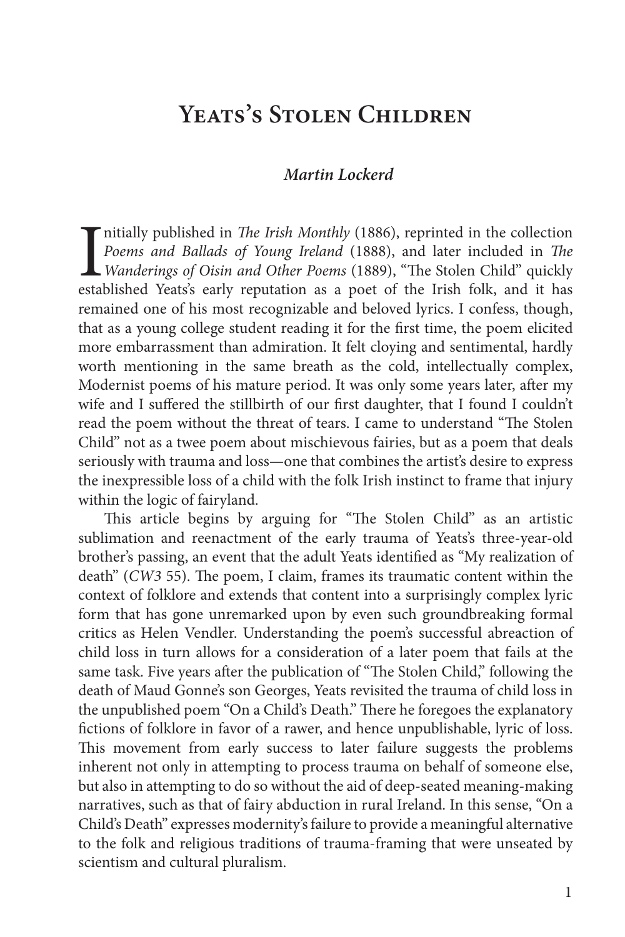## **Yeats's Stolen Children**

#### *Martin Lockerd*

Initially published in *The Irish Monthly* (1886), reprinted in the collection *Poems and Ballads of Young Ireland* (1888), and later included in *The Wanderings of Oisin and Other Poems* (1889), "The Stolen Child" quickly nitially published in *The Irish Monthly* (1886), reprinted in the collection *Poems and Ballads of Young Ireland* (1888), and later included in *The Wanderings of Oisin and Other Poems* (1889), "The Stolen Child" quickly remained one of his most recognizable and beloved lyrics. I confess, though, that as a young college student reading it for the first time, the poem elicited more embarrassment than admiration. It felt cloying and sentimental, hardly worth mentioning in the same breath as the cold, intellectually complex, Modernist poems of his mature period. It was only some years later, after my wife and I suffered the stillbirth of our first daughter, that I found I couldn't read the poem without the threat of tears. I came to understand "The Stolen Child" not as a twee poem about mischievous fairies, but as a poem that deals seriously with trauma and loss—one that combines the artist's desire to express the inexpressible loss of a child with the folk Irish instinct to frame that injury within the logic of fairyland.

This article begins by arguing for "The Stolen Child" as an artistic sublimation and reenactment of the early trauma of Yeats's three-year-old brother's passing, an event that the adult Yeats identified as "My realization of death" (*CW3* 55). The poem, I claim, frames its traumatic content within the context of folklore and extends that content into a surprisingly complex lyric form that has gone unremarked upon by even such groundbreaking formal critics as Helen Vendler. Understanding the poem's successful abreaction of child loss in turn allows for a consideration of a later poem that fails at the same task. Five years after the publication of "The Stolen Child," following the death of Maud Gonne's son Georges, Yeats revisited the trauma of child loss in the unpublished poem "On a Child's Death." There he foregoes the explanatory fictions of folklore in favor of a rawer, and hence unpublishable, lyric of loss. This movement from early success to later failure suggests the problems inherent not only in attempting to process trauma on behalf of someone else, but also in attempting to do so without the aid of deep-seated meaning-making narratives, such as that of fairy abduction in rural Ireland. In this sense, "On a Child's Death" expresses modernity's failure to provide a meaningful alternative to the folk and religious traditions of trauma-framing that were unseated by scientism and cultural pluralism.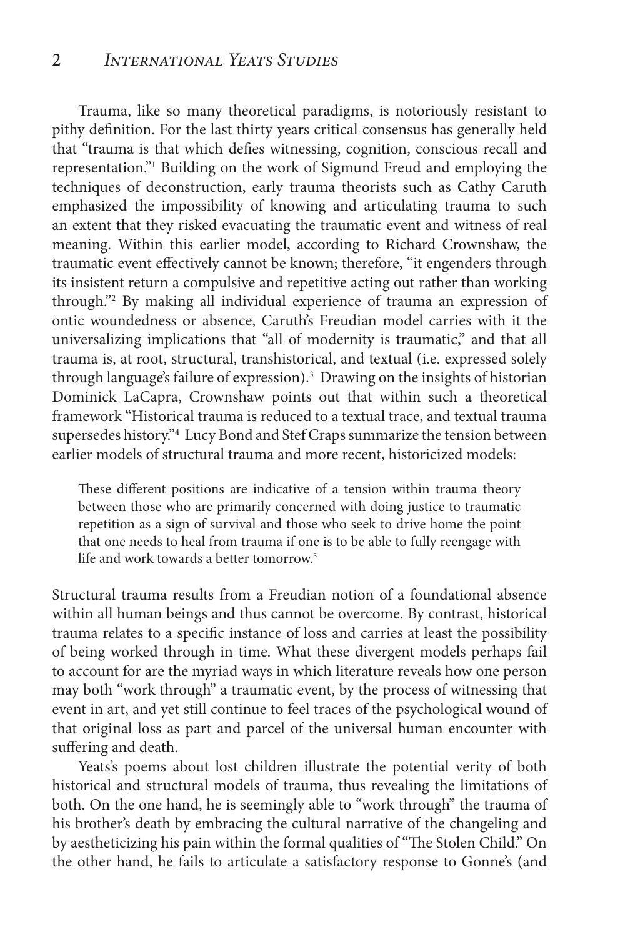Trauma, like so many theoretical paradigms, is notoriously resistant to pithy definition. For the last thirty years critical consensus has generally held that "trauma is that which defies witnessing, cognition, conscious recall and representation."1 Building on the work of Sigmund Freud and employing the techniques of deconstruction, early trauma theorists such as Cathy Caruth emphasized the impossibility of knowing and articulating trauma to such an extent that they risked evacuating the traumatic event and witness of real meaning. Within this earlier model, according to Richard Crownshaw, the traumatic event effectively cannot be known; therefore, "it engenders through its insistent return a compulsive and repetitive acting out rather than working through."2 By making all individual experience of trauma an expression of ontic woundedness or absence, Caruth's Freudian model carries with it the universalizing implications that "all of modernity is traumatic," and that all trauma is, at root, structural, transhistorical, and textual (i.e. expressed solely through language's failure of expression).3 Drawing on the insights of historian Dominick LaCapra, Crownshaw points out that within such a theoretical framework "Historical trauma is reduced to a textual trace, and textual trauma supersedes history."4 Lucy Bond and Stef Craps summarize the tension between earlier models of structural trauma and more recent, historicized models:

These different positions are indicative of a tension within trauma theory between those who are primarily concerned with doing justice to traumatic repetition as a sign of survival and those who seek to drive home the point that one needs to heal from trauma if one is to be able to fully reengage with life and work towards a better tomorrow.<sup>5</sup>

Structural trauma results from a Freudian notion of a foundational absence within all human beings and thus cannot be overcome. By contrast, historical trauma relates to a specific instance of loss and carries at least the possibility of being worked through in time. What these divergent models perhaps fail to account for are the myriad ways in which literature reveals how one person may both "work through" a traumatic event, by the process of witnessing that event in art, and yet still continue to feel traces of the psychological wound of that original loss as part and parcel of the universal human encounter with suffering and death.

Yeats's poems about lost children illustrate the potential verity of both historical and structural models of trauma, thus revealing the limitations of both. On the one hand, he is seemingly able to "work through" the trauma of his brother's death by embracing the cultural narrative of the changeling and by aestheticizing his pain within the formal qualities of "The Stolen Child." On the other hand, he fails to articulate a satisfactory response to Gonne's (and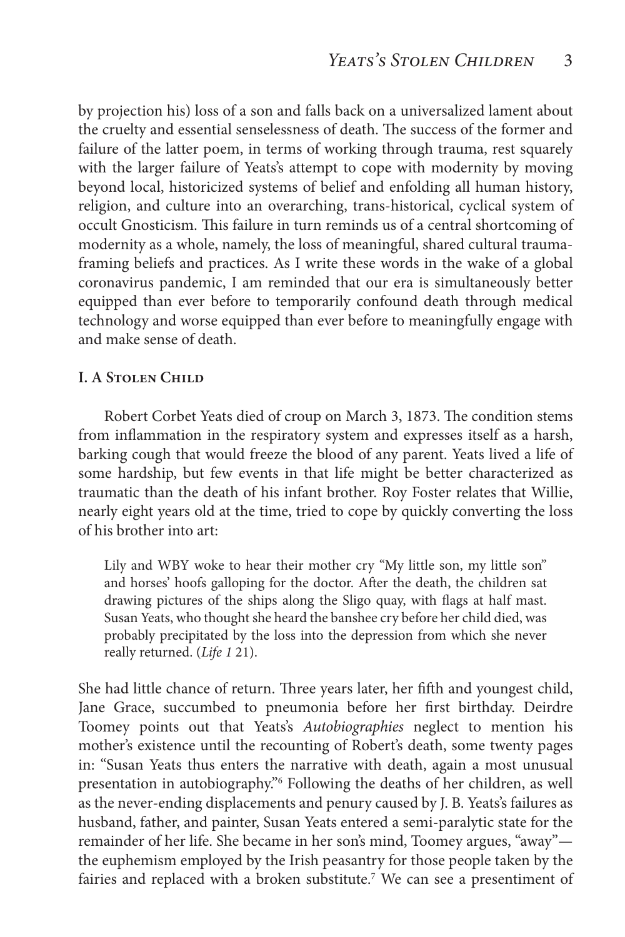by projection his) loss of a son and falls back on a universalized lament about the cruelty and essential senselessness of death. The success of the former and failure of the latter poem, in terms of working through trauma, rest squarely with the larger failure of Yeats's attempt to cope with modernity by moving beyond local, historicized systems of belief and enfolding all human history, religion, and culture into an overarching, trans-historical, cyclical system of occult Gnosticism. This failure in turn reminds us of a central shortcoming of modernity as a whole, namely, the loss of meaningful, shared cultural traumaframing beliefs and practices. As I write these words in the wake of a global coronavirus pandemic, I am reminded that our era is simultaneously better equipped than ever before to temporarily confound death through medical technology and worse equipped than ever before to meaningfully engage with and make sense of death.

#### **I. A Stolen Child**

Robert Corbet Yeats died of croup on March 3, 1873. The condition stems from inflammation in the respiratory system and expresses itself as a harsh, barking cough that would freeze the blood of any parent. Yeats lived a life of some hardship, but few events in that life might be better characterized as traumatic than the death of his infant brother. Roy Foster relates that Willie, nearly eight years old at the time, tried to cope by quickly converting the loss of his brother into art:

Lily and WBY woke to hear their mother cry "My little son, my little son" and horses' hoofs galloping for the doctor. After the death, the children sat drawing pictures of the ships along the Sligo quay, with flags at half mast. Susan Yeats, who thought she heard the banshee cry before her child died, was probably precipitated by the loss into the depression from which she never really returned. (*Life 1* 21).

She had little chance of return. Three years later, her fifth and youngest child, Jane Grace, succumbed to pneumonia before her first birthday. Deirdre Toomey points out that Yeats's *Autobiographies* neglect to mention his mother's existence until the recounting of Robert's death, some twenty pages in: "Susan Yeats thus enters the narrative with death, again a most unusual presentation in autobiography."6 Following the deaths of her children, as well as the never-ending displacements and penury caused by J. B. Yeats's failures as husband, father, and painter, Susan Yeats entered a semi-paralytic state for the remainder of her life. She became in her son's mind, Toomey argues, "away" the euphemism employed by the Irish peasantry for those people taken by the fairies and replaced with a broken substitute.<sup>7</sup> We can see a presentiment of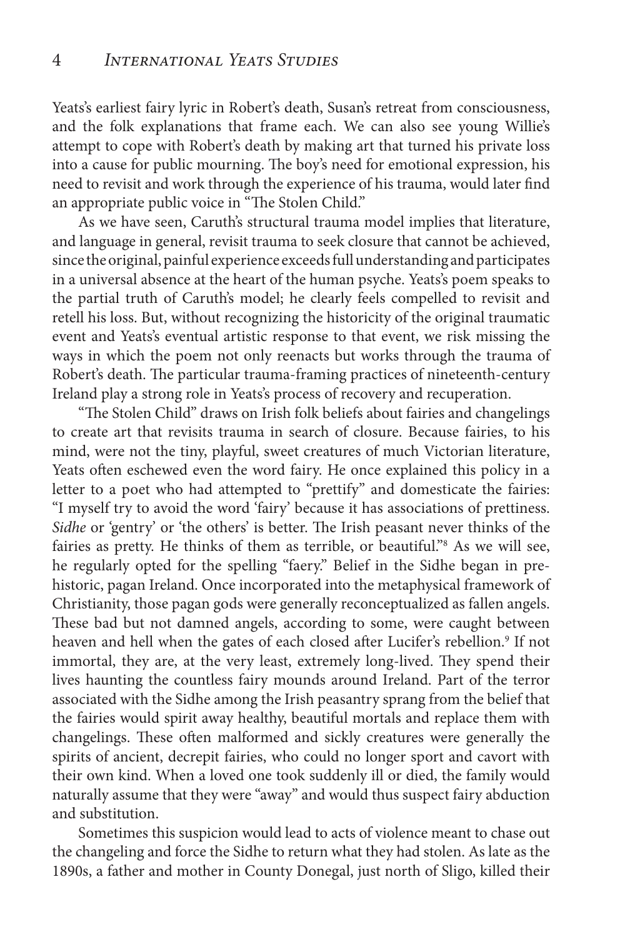Yeats's earliest fairy lyric in Robert's death, Susan's retreat from consciousness, and the folk explanations that frame each. We can also see young Willie's attempt to cope with Robert's death by making art that turned his private loss into a cause for public mourning. The boy's need for emotional expression, his need to revisit and work through the experience of his trauma, would later find an appropriate public voice in "The Stolen Child."

As we have seen, Caruth's structural trauma model implies that literature, and language in general, revisit trauma to seek closure that cannot be achieved, since the original, painful experience exceeds full understanding and participates in a universal absence at the heart of the human psyche. Yeats's poem speaks to the partial truth of Caruth's model; he clearly feels compelled to revisit and retell his loss. But, without recognizing the historicity of the original traumatic event and Yeats's eventual artistic response to that event, we risk missing the ways in which the poem not only reenacts but works through the trauma of Robert's death. The particular trauma-framing practices of nineteenth-century Ireland play a strong role in Yeats's process of recovery and recuperation.

"The Stolen Child" draws on Irish folk beliefs about fairies and changelings to create art that revisits trauma in search of closure. Because fairies, to his mind, were not the tiny, playful, sweet creatures of much Victorian literature, Yeats often eschewed even the word fairy. He once explained this policy in a letter to a poet who had attempted to "prettify" and domesticate the fairies: "I myself try to avoid the word 'fairy' because it has associations of prettiness. *Sidhe* or 'gentry' or 'the others' is better. The Irish peasant never thinks of the fairies as pretty. He thinks of them as terrible, or beautiful."8 As we will see, he regularly opted for the spelling "faery." Belief in the Sidhe began in prehistoric, pagan Ireland. Once incorporated into the metaphysical framework of Christianity, those pagan gods were generally reconceptualized as fallen angels. These bad but not damned angels, according to some, were caught between heaven and hell when the gates of each closed after Lucifer's rebellion.<sup>9</sup> If not immortal, they are, at the very least, extremely long-lived. They spend their lives haunting the countless fairy mounds around Ireland. Part of the terror associated with the Sidhe among the Irish peasantry sprang from the belief that the fairies would spirit away healthy, beautiful mortals and replace them with changelings. These often malformed and sickly creatures were generally the spirits of ancient, decrepit fairies, who could no longer sport and cavort with their own kind. When a loved one took suddenly ill or died, the family would naturally assume that they were "away" and would thus suspect fairy abduction and substitution.

Sometimes this suspicion would lead to acts of violence meant to chase out the changeling and force the Sidhe to return what they had stolen. As late as the 1890s, a father and mother in County Donegal, just north of Sligo, killed their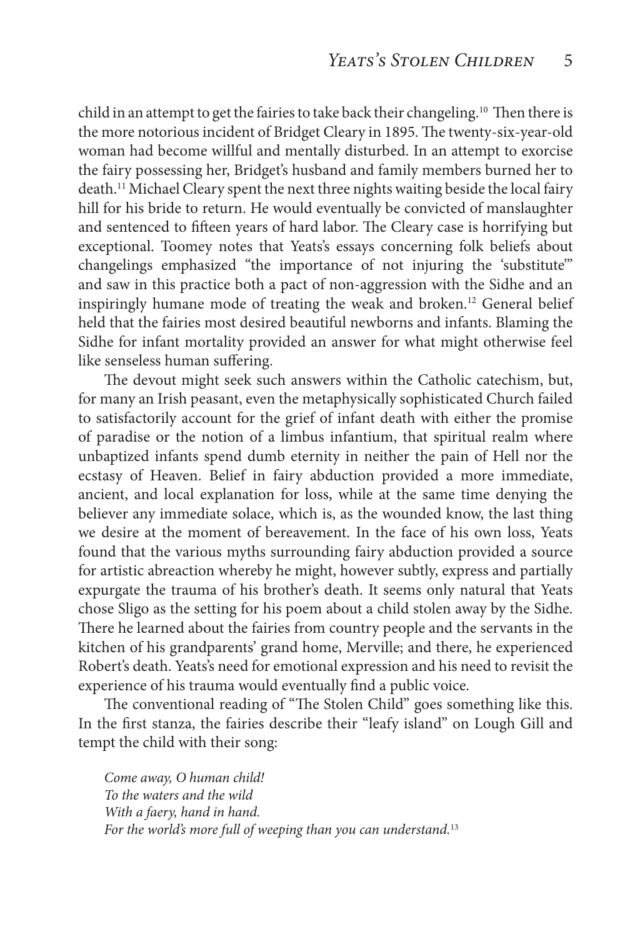child in an attempt to get the fairies to take back their changeling.<sup>10</sup> Then there is the more notorious incident of Bridget Cleary in 1895. The twenty-six-year-old woman had become willful and mentally disturbed. In an attempt to exorcise the fairy possessing her, Bridget's husband and family members burned her to death.11 Michael Cleary spent the next three nights waiting beside the local fairy hill for his bride to return. He would eventually be convicted of manslaughter and sentenced to fifteen years of hard labor. The Cleary case is horrifying but exceptional. Toomey notes that Yeats's essays concerning folk beliefs about changelings emphasized "the importance of not injuring the 'substitute'" and saw in this practice both a pact of non-aggression with the Sidhe and an inspiringly humane mode of treating the weak and broken.<sup>12</sup> General belief held that the fairies most desired beautiful newborns and infants. Blaming the Sidhe for infant mortality provided an answer for what might otherwise feel like senseless human suffering.

The devout might seek such answers within the Catholic catechism, but, for many an Irish peasant, even the metaphysically sophisticated Church failed to satisfactorily account for the grief of infant death with either the promise of paradise or the notion of a limbus infantium, that spiritual realm where unbaptized infants spend dumb eternity in neither the pain of Hell nor the ecstasy of Heaven. Belief in fairy abduction provided a more immediate, ancient, and local explanation for loss, while at the same time denying the believer any immediate solace, which is, as the wounded know, the last thing we desire at the moment of bereavement. In the face of his own loss, Yeats found that the various myths surrounding fairy abduction provided a source for artistic abreaction whereby he might, however subtly, express and partially expurgate the trauma of his brother's death. It seems only natural that Yeats chose Sligo as the setting for his poem about a child stolen away by the Sidhe. There he learned about the fairies from country people and the servants in the kitchen of his grandparents' grand home, Merville; and there, he experienced Robert's death. Yeats's need for emotional expression and his need to revisit the experience of his trauma would eventually find a public voice.

The conventional reading of "The Stolen Child" goes something like this. In the first stanza, the fairies describe their "leafy island" on Lough Gill and tempt the child with their song:

*Come away, O human child! To the waters and the wild With a faery, hand in hand. For the world's more full of weeping than you can understand.*13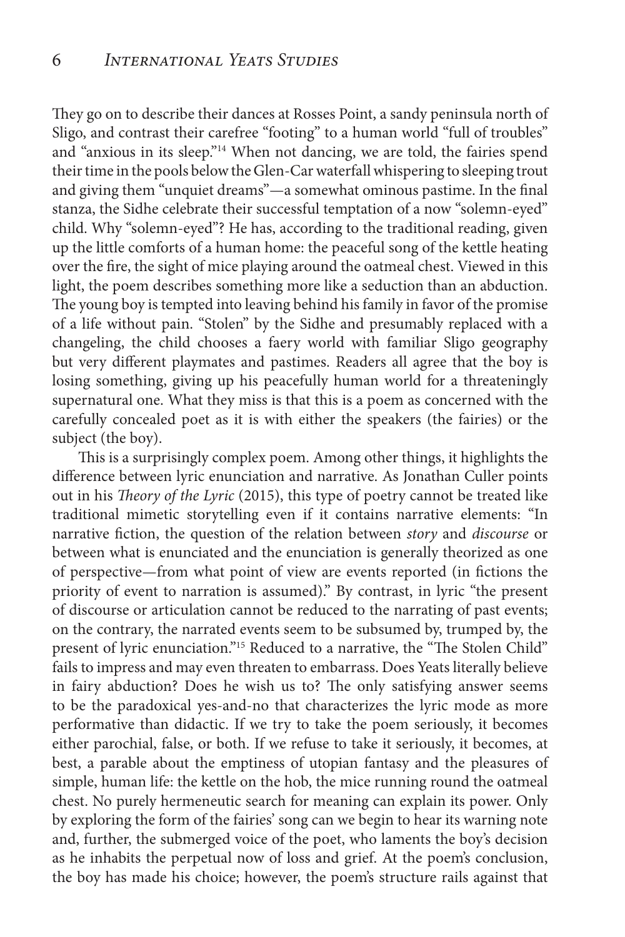They go on to describe their dances at Rosses Point, a sandy peninsula north of Sligo, and contrast their carefree "footing" to a human world "full of troubles" and "anxious in its sleep."<sup>14</sup> When not dancing, we are told, the fairies spend their time in the pools below the Glen-Car waterfall whispering to sleeping trout and giving them "unquiet dreams"—a somewhat ominous pastime. In the final stanza, the Sidhe celebrate their successful temptation of a now "solemn-eyed" child. Why "solemn-eyed"? He has, according to the traditional reading, given up the little comforts of a human home: the peaceful song of the kettle heating over the fire, the sight of mice playing around the oatmeal chest. Viewed in this light, the poem describes something more like a seduction than an abduction. The young boy is tempted into leaving behind his family in favor of the promise of a life without pain. "Stolen" by the Sidhe and presumably replaced with a changeling, the child chooses a faery world with familiar Sligo geography but very different playmates and pastimes. Readers all agree that the boy is losing something, giving up his peacefully human world for a threateningly supernatural one. What they miss is that this is a poem as concerned with the carefully concealed poet as it is with either the speakers (the fairies) or the subject (the boy).

This is a surprisingly complex poem. Among other things, it highlights the difference between lyric enunciation and narrative. As Jonathan Culler points out in his *Theory of the Lyric* (2015), this type of poetry cannot be treated like traditional mimetic storytelling even if it contains narrative elements: "In narrative fiction, the question of the relation between *story* and *discourse* or between what is enunciated and the enunciation is generally theorized as one of perspective—from what point of view are events reported (in fictions the priority of event to narration is assumed)." By contrast, in lyric "the present of discourse or articulation cannot be reduced to the narrating of past events; on the contrary, the narrated events seem to be subsumed by, trumped by, the present of lyric enunciation."<sup>15</sup> Reduced to a narrative, the "The Stolen Child" fails to impress and may even threaten to embarrass. Does Yeats literally believe in fairy abduction? Does he wish us to? The only satisfying answer seems to be the paradoxical yes-and-no that characterizes the lyric mode as more performative than didactic. If we try to take the poem seriously, it becomes either parochial, false, or both. If we refuse to take it seriously, it becomes, at best, a parable about the emptiness of utopian fantasy and the pleasures of simple, human life: the kettle on the hob, the mice running round the oatmeal chest. No purely hermeneutic search for meaning can explain its power. Only by exploring the form of the fairies' song can we begin to hear its warning note and, further, the submerged voice of the poet, who laments the boy's decision as he inhabits the perpetual now of loss and grief. At the poem's conclusion, the boy has made his choice; however, the poem's structure rails against that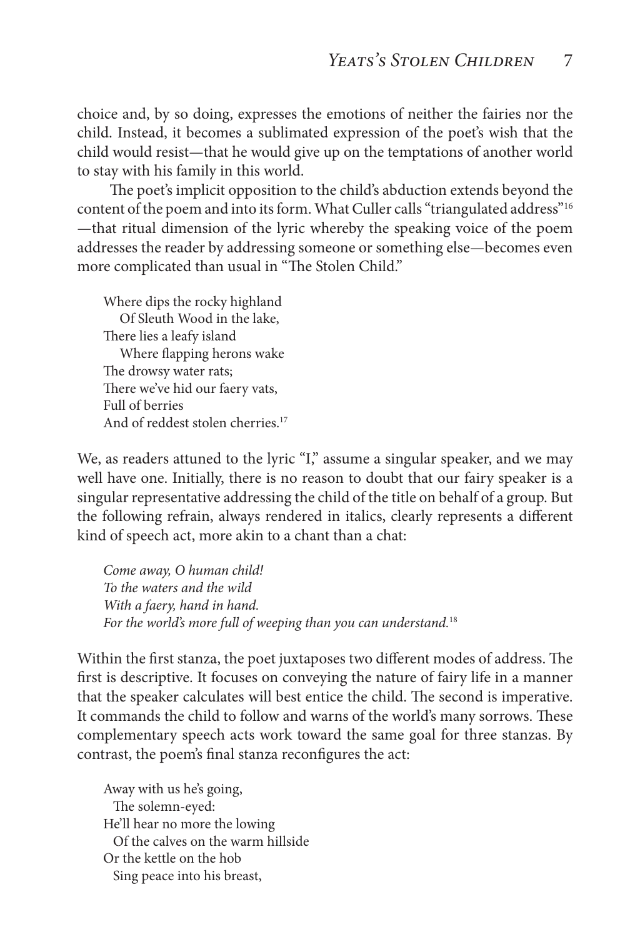choice and, by so doing, expresses the emotions of neither the fairies nor the child. Instead, it becomes a sublimated expression of the poet's wish that the child would resist—that he would give up on the temptations of another world to stay with his family in this world.

 The poet's implicit opposition to the child's abduction extends beyond the content of the poem and into its form. What Culler calls "triangulated address"<sup>16</sup> —that ritual dimension of the lyric whereby the speaking voice of the poem addresses the reader by addressing someone or something else—becomes even more complicated than usual in "The Stolen Child."

Where dips the rocky highland Of Sleuth Wood in the lake, There lies a leafy island Where flapping herons wake The drowsy water rats; There we've hid our faery vats, Full of berries And of reddest stolen cherries.<sup>17</sup>

We, as readers attuned to the lyric "I," assume a singular speaker, and we may well have one. Initially, there is no reason to doubt that our fairy speaker is a singular representative addressing the child of the title on behalf of a group. But the following refrain, always rendered in italics, clearly represents a different kind of speech act, more akin to a chant than a chat:

*Come away, O human child! To the waters and the wild With a faery, hand in hand. For the world's more full of weeping than you can understand.*<sup>18</sup>

Within the first stanza, the poet juxtaposes two different modes of address. The first is descriptive. It focuses on conveying the nature of fairy life in a manner that the speaker calculates will best entice the child. The second is imperative. It commands the child to follow and warns of the world's many sorrows. These complementary speech acts work toward the same goal for three stanzas. By contrast, the poem's final stanza reconfigures the act:

Away with us he's going, The solemn-eyed: He'll hear no more the lowing Of the calves on the warm hillside Or the kettle on the hob Sing peace into his breast,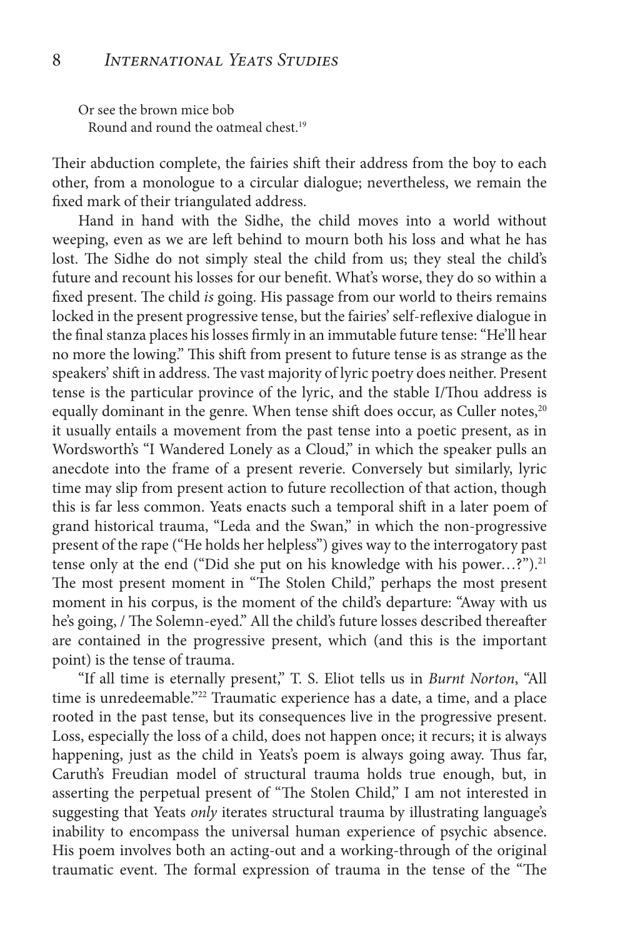Or see the brown mice bob Round and round the oatmeal chest.19

Their abduction complete, the fairies shift their address from the boy to each other, from a monologue to a circular dialogue; nevertheless, we remain the fixed mark of their triangulated address.

Hand in hand with the Sidhe, the child moves into a world without weeping, even as we are left behind to mourn both his loss and what he has lost. The Sidhe do not simply steal the child from us; they steal the child's future and recount his losses for our benefit. What's worse, they do so within a fixed present. The child *is* going. His passage from our world to theirs remains locked in the present progressive tense, but the fairies' self-reflexive dialogue in the final stanza places his losses firmly in an immutable future tense: "He'll hear no more the lowing." This shift from present to future tense is as strange as the speakers' shift in address. The vast majority of lyric poetry does neither. Present tense is the particular province of the lyric, and the stable I/Thou address is equally dominant in the genre. When tense shift does occur, as Culler notes,<sup>20</sup> it usually entails a movement from the past tense into a poetic present, as in Wordsworth's "I Wandered Lonely as a Cloud," in which the speaker pulls an anecdote into the frame of a present reverie. Conversely but similarly, lyric time may slip from present action to future recollection of that action, though this is far less common. Yeats enacts such a temporal shift in a later poem of grand historical trauma, "Leda and the Swan," in which the non-progressive present of the rape ("He holds her helpless") gives way to the interrogatory past tense only at the end ("Did she put on his knowledge with his power...?").<sup>21</sup> The most present moment in "The Stolen Child," perhaps the most present moment in his corpus, is the moment of the child's departure: "Away with us he's going, / The Solemn-eyed." All the child's future losses described thereafter are contained in the progressive present, which (and this is the important point) is the tense of trauma.

"If all time is eternally present," T. S. Eliot tells us in *Burnt Norton*, "All time is unredeemable."<sup>22</sup> Traumatic experience has a date, a time, and a place rooted in the past tense, but its consequences live in the progressive present. Loss, especially the loss of a child, does not happen once; it recurs; it is always happening, just as the child in Yeats's poem is always going away. Thus far, Caruth's Freudian model of structural trauma holds true enough, but, in asserting the perpetual present of "The Stolen Child," I am not interested in suggesting that Yeats *only* iterates structural trauma by illustrating language's inability to encompass the universal human experience of psychic absence. His poem involves both an acting-out and a working-through of the original traumatic event. The formal expression of trauma in the tense of the "The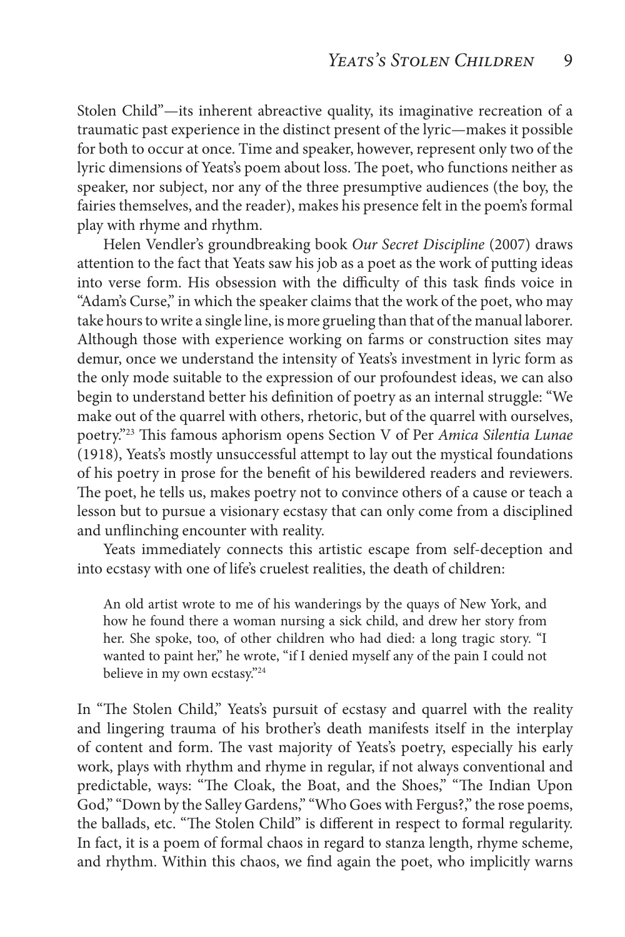Stolen Child"—its inherent abreactive quality, its imaginative recreation of a traumatic past experience in the distinct present of the lyric—makes it possible for both to occur at once. Time and speaker, however, represent only two of the lyric dimensions of Yeats's poem about loss. The poet, who functions neither as speaker, nor subject, nor any of the three presumptive audiences (the boy, the fairies themselves, and the reader), makes his presence felt in the poem's formal play with rhyme and rhythm.

Helen Vendler's groundbreaking book *Our Secret Discipline* (2007) draws attention to the fact that Yeats saw his job as a poet as the work of putting ideas into verse form. His obsession with the difficulty of this task finds voice in "Adam's Curse," in which the speaker claims that the work of the poet, who may take hours to write a single line, is more grueling than that of the manual laborer. Although those with experience working on farms or construction sites may demur, once we understand the intensity of Yeats's investment in lyric form as the only mode suitable to the expression of our profoundest ideas, we can also begin to understand better his definition of poetry as an internal struggle: "We make out of the quarrel with others, rhetoric, but of the quarrel with ourselves, poetry."23 This famous aphorism opens Section V of Per *Amica Silentia Lunae*  (1918), Yeats's mostly unsuccessful attempt to lay out the mystical foundations of his poetry in prose for the benefit of his bewildered readers and reviewers. The poet, he tells us, makes poetry not to convince others of a cause or teach a lesson but to pursue a visionary ecstasy that can only come from a disciplined and unflinching encounter with reality.

Yeats immediately connects this artistic escape from self-deception and into ecstasy with one of life's cruelest realities, the death of children:

An old artist wrote to me of his wanderings by the quays of New York, and how he found there a woman nursing a sick child, and drew her story from her. She spoke, too, of other children who had died: a long tragic story. "I wanted to paint her," he wrote, "if I denied myself any of the pain I could not believe in my own ecstasy."24

In "The Stolen Child," Yeats's pursuit of ecstasy and quarrel with the reality and lingering trauma of his brother's death manifests itself in the interplay of content and form. The vast majority of Yeats's poetry, especially his early work, plays with rhythm and rhyme in regular, if not always conventional and predictable, ways: "The Cloak, the Boat, and the Shoes," "The Indian Upon God," "Down by the Salley Gardens," "Who Goes with Fergus?," the rose poems, the ballads, etc. "The Stolen Child" is different in respect to formal regularity. In fact, it is a poem of formal chaos in regard to stanza length, rhyme scheme, and rhythm. Within this chaos, we find again the poet, who implicitly warns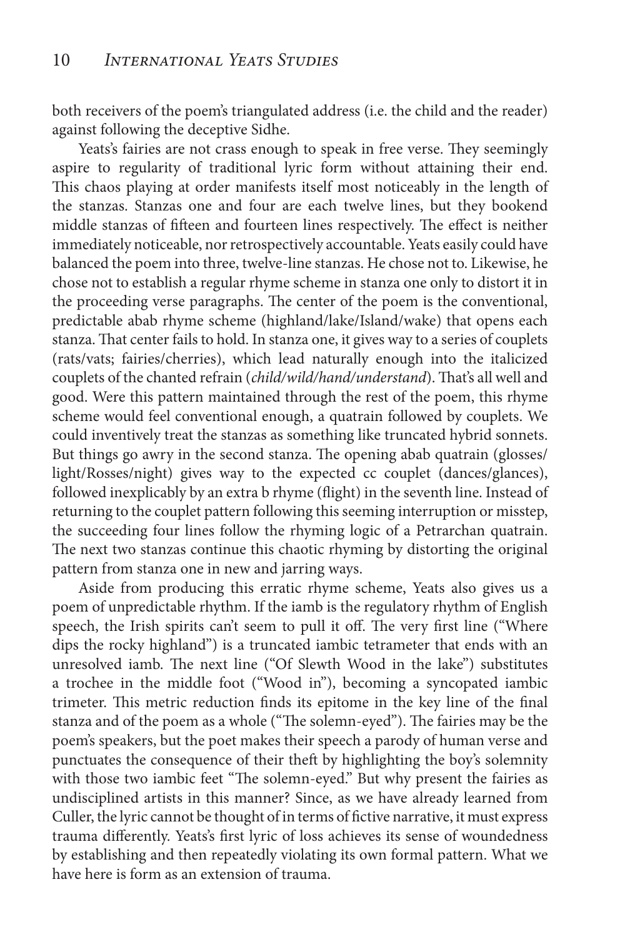both receivers of the poem's triangulated address (i.e. the child and the reader) against following the deceptive Sidhe.

Yeats's fairies are not crass enough to speak in free verse. They seemingly aspire to regularity of traditional lyric form without attaining their end. This chaos playing at order manifests itself most noticeably in the length of the stanzas. Stanzas one and four are each twelve lines, but they bookend middle stanzas of fifteen and fourteen lines respectively. The effect is neither immediately noticeable, nor retrospectively accountable. Yeats easily could have balanced the poem into three, twelve-line stanzas. He chose not to. Likewise, he chose not to establish a regular rhyme scheme in stanza one only to distort it in the proceeding verse paragraphs. The center of the poem is the conventional, predictable abab rhyme scheme (highland/lake/Island/wake) that opens each stanza. That center fails to hold. In stanza one, it gives way to a series of couplets (rats/vats; fairies/cherries), which lead naturally enough into the italicized couplets of the chanted refrain (*child/wild/hand/understand*). That's all well and good. Were this pattern maintained through the rest of the poem, this rhyme scheme would feel conventional enough, a quatrain followed by couplets. We could inventively treat the stanzas as something like truncated hybrid sonnets. But things go awry in the second stanza. The opening abab quatrain (glosses/ light/Rosses/night) gives way to the expected cc couplet (dances/glances), followed inexplicably by an extra b rhyme (flight) in the seventh line. Instead of returning to the couplet pattern following this seeming interruption or misstep, the succeeding four lines follow the rhyming logic of a Petrarchan quatrain. The next two stanzas continue this chaotic rhyming by distorting the original pattern from stanza one in new and jarring ways.

Aside from producing this erratic rhyme scheme, Yeats also gives us a poem of unpredictable rhythm. If the iamb is the regulatory rhythm of English speech, the Irish spirits can't seem to pull it off. The very first line ("Where dips the rocky highland") is a truncated iambic tetrameter that ends with an unresolved iamb. The next line ("Of Slewth Wood in the lake") substitutes a trochee in the middle foot ("Wood in"), becoming a syncopated iambic trimeter. This metric reduction finds its epitome in the key line of the final stanza and of the poem as a whole ("The solemn-eyed"). The fairies may be the poem's speakers, but the poet makes their speech a parody of human verse and punctuates the consequence of their theft by highlighting the boy's solemnity with those two iambic feet "The solemn-eyed." But why present the fairies as undisciplined artists in this manner? Since, as we have already learned from Culler, the lyric cannot be thought of in terms of fictive narrative, it must express trauma differently. Yeats's first lyric of loss achieves its sense of woundedness by establishing and then repeatedly violating its own formal pattern. What we have here is form as an extension of trauma.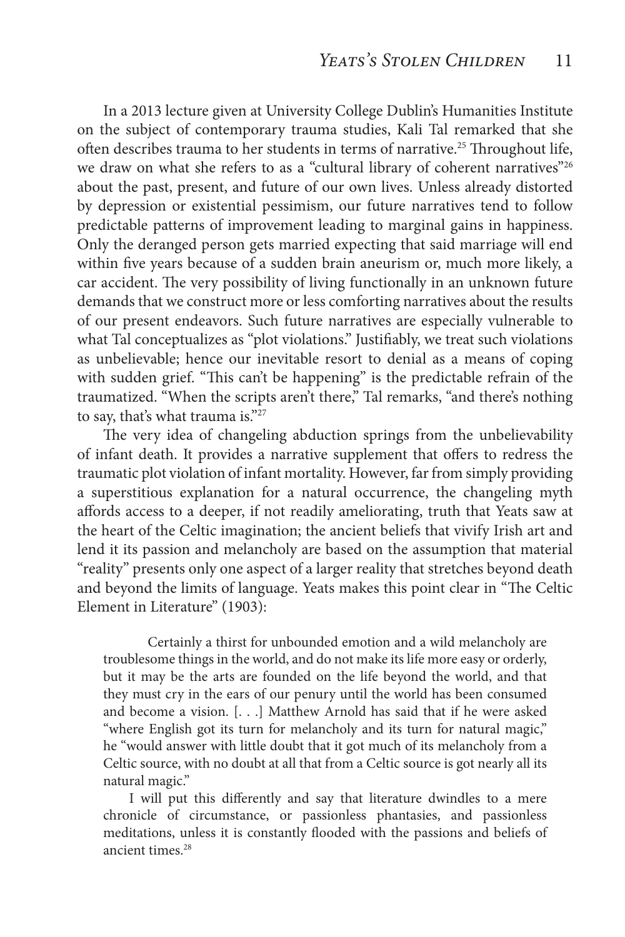In a 2013 lecture given at University College Dublin's Humanities Institute on the subject of contemporary trauma studies, Kali Tal remarked that she often describes trauma to her students in terms of narrative.<sup>25</sup> Throughout life, we draw on what she refers to as a "cultural library of coherent narratives"<sup>26</sup> about the past, present, and future of our own lives. Unless already distorted by depression or existential pessimism, our future narratives tend to follow predictable patterns of improvement leading to marginal gains in happiness. Only the deranged person gets married expecting that said marriage will end within five years because of a sudden brain aneurism or, much more likely, a car accident. The very possibility of living functionally in an unknown future demands that we construct more or less comforting narratives about the results of our present endeavors. Such future narratives are especially vulnerable to what Tal conceptualizes as "plot violations." Justifiably, we treat such violations as unbelievable; hence our inevitable resort to denial as a means of coping with sudden grief. "This can't be happening" is the predictable refrain of the traumatized. "When the scripts aren't there," Tal remarks, "and there's nothing to say, that's what trauma is."<sup>27</sup>

The very idea of changeling abduction springs from the unbelievability of infant death. It provides a narrative supplement that offers to redress the traumatic plot violation of infant mortality. However, far from simply providing a superstitious explanation for a natural occurrence, the changeling myth affords access to a deeper, if not readily ameliorating, truth that Yeats saw at the heart of the Celtic imagination; the ancient beliefs that vivify Irish art and lend it its passion and melancholy are based on the assumption that material "reality" presents only one aspect of a larger reality that stretches beyond death and beyond the limits of language. Yeats makes this point clear in "The Celtic Element in Literature" (1903):

 Certainly a thirst for unbounded emotion and a wild melancholy are troublesome things in the world, and do not make its life more easy or orderly, but it may be the arts are founded on the life beyond the world, and that they must cry in the ears of our penury until the world has been consumed and become a vision. [. . .] Matthew Arnold has said that if he were asked "where English got its turn for melancholy and its turn for natural magic," he "would answer with little doubt that it got much of its melancholy from a Celtic source, with no doubt at all that from a Celtic source is got nearly all its natural magic."

I will put this differently and say that literature dwindles to a mere chronicle of circumstance, or passionless phantasies, and passionless meditations, unless it is constantly flooded with the passions and beliefs of ancient times.28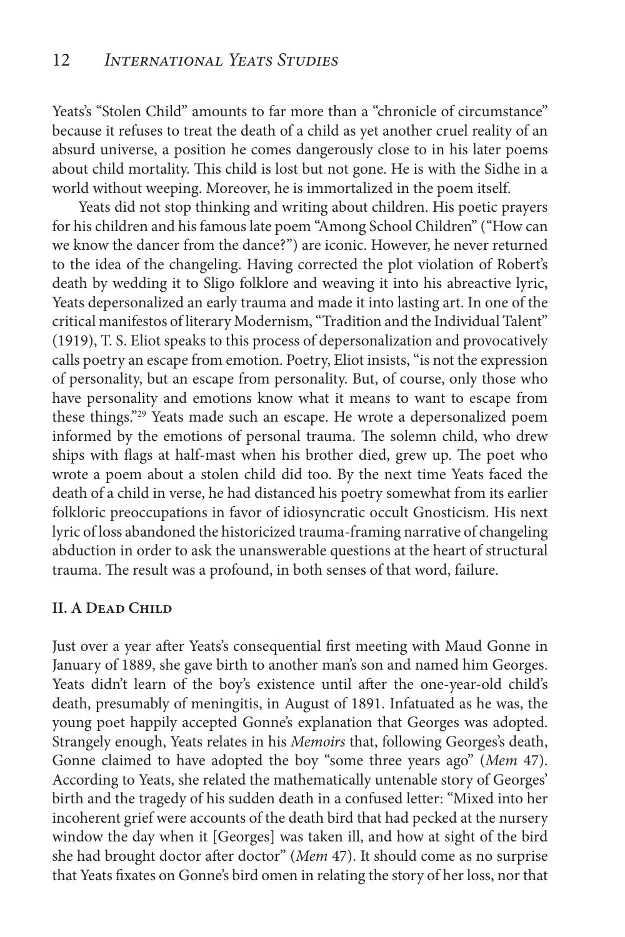Yeats's "Stolen Child" amounts to far more than a "chronicle of circumstance" because it refuses to treat the death of a child as yet another cruel reality of an absurd universe, a position he comes dangerously close to in his later poems about child mortality. This child is lost but not gone. He is with the Sidhe in a world without weeping. Moreover, he is immortalized in the poem itself.

Yeats did not stop thinking and writing about children. His poetic prayers for his children and his famous late poem "Among School Children" ("How can we know the dancer from the dance?") are iconic. However, he never returned to the idea of the changeling. Having corrected the plot violation of Robert's death by wedding it to Sligo folklore and weaving it into his abreactive lyric, Yeats depersonalized an early trauma and made it into lasting art. In one of the critical manifestos of literary Modernism, "Tradition and the Individual Talent" (1919), T. S. Eliot speaks to this process of depersonalization and provocatively calls poetry an escape from emotion. Poetry, Eliot insists, "is not the expression of personality, but an escape from personality. But, of course, only those who have personality and emotions know what it means to want to escape from these things."29 Yeats made such an escape. He wrote a depersonalized poem informed by the emotions of personal trauma. The solemn child, who drew ships with flags at half-mast when his brother died, grew up. The poet who wrote a poem about a stolen child did too. By the next time Yeats faced the death of a child in verse, he had distanced his poetry somewhat from its earlier folkloric preoccupations in favor of idiosyncratic occult Gnosticism. His next lyric of loss abandoned the historicized trauma-framing narrative of changeling abduction in order to ask the unanswerable questions at the heart of structural trauma. The result was a profound, in both senses of that word, failure.

#### **II. A Dead Child**

Just over a year after Yeats's consequential first meeting with Maud Gonne in January of 1889, she gave birth to another man's son and named him Georges. Yeats didn't learn of the boy's existence until after the one-year-old child's death, presumably of meningitis, in August of 1891. Infatuated as he was, the young poet happily accepted Gonne's explanation that Georges was adopted. Strangely enough, Yeats relates in his *Memoirs* that, following Georges's death, Gonne claimed to have adopted the boy "some three years ago" (*Mem* 47). According to Yeats, she related the mathematically untenable story of Georges' birth and the tragedy of his sudden death in a confused letter: "Mixed into her incoherent grief were accounts of the death bird that had pecked at the nursery window the day when it [Georges] was taken ill, and how at sight of the bird she had brought doctor after doctor" (*Mem* 47). It should come as no surprise that Yeats fixates on Gonne's bird omen in relating the story of her loss, nor that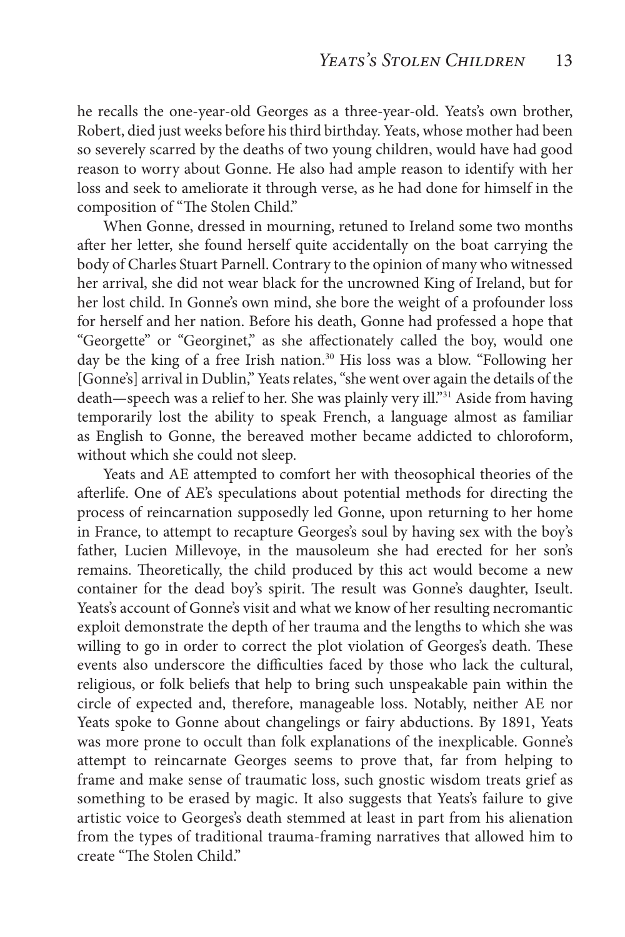he recalls the one-year-old Georges as a three-year-old. Yeats's own brother, Robert, died just weeks before his third birthday. Yeats, whose mother had been so severely scarred by the deaths of two young children, would have had good reason to worry about Gonne. He also had ample reason to identify with her loss and seek to ameliorate it through verse, as he had done for himself in the composition of "The Stolen Child."

When Gonne, dressed in mourning, retuned to Ireland some two months after her letter, she found herself quite accidentally on the boat carrying the body of Charles Stuart Parnell. Contrary to the opinion of many who witnessed her arrival, she did not wear black for the uncrowned King of Ireland, but for her lost child. In Gonne's own mind, she bore the weight of a profounder loss for herself and her nation. Before his death, Gonne had professed a hope that "Georgette" or "Georginet," as she affectionately called the boy, would one day be the king of a free Irish nation.<sup>30</sup> His loss was a blow. "Following her [Gonne's] arrival in Dublin," Yeats relates, "she went over again the details of the death—speech was a relief to her. She was plainly very ill."<sup>31</sup> Aside from having temporarily lost the ability to speak French, a language almost as familiar as English to Gonne, the bereaved mother became addicted to chloroform, without which she could not sleep.

Yeats and AE attempted to comfort her with theosophical theories of the afterlife. One of AE's speculations about potential methods for directing the process of reincarnation supposedly led Gonne, upon returning to her home in France, to attempt to recapture Georges's soul by having sex with the boy's father, Lucien Millevoye, in the mausoleum she had erected for her son's remains. Theoretically, the child produced by this act would become a new container for the dead boy's spirit. The result was Gonne's daughter, Iseult. Yeats's account of Gonne's visit and what we know of her resulting necromantic exploit demonstrate the depth of her trauma and the lengths to which she was willing to go in order to correct the plot violation of Georges's death. These events also underscore the difficulties faced by those who lack the cultural, religious, or folk beliefs that help to bring such unspeakable pain within the circle of expected and, therefore, manageable loss. Notably, neither AE nor Yeats spoke to Gonne about changelings or fairy abductions. By 1891, Yeats was more prone to occult than folk explanations of the inexplicable. Gonne's attempt to reincarnate Georges seems to prove that, far from helping to frame and make sense of traumatic loss, such gnostic wisdom treats grief as something to be erased by magic. It also suggests that Yeats's failure to give artistic voice to Georges's death stemmed at least in part from his alienation from the types of traditional trauma-framing narratives that allowed him to create "The Stolen Child."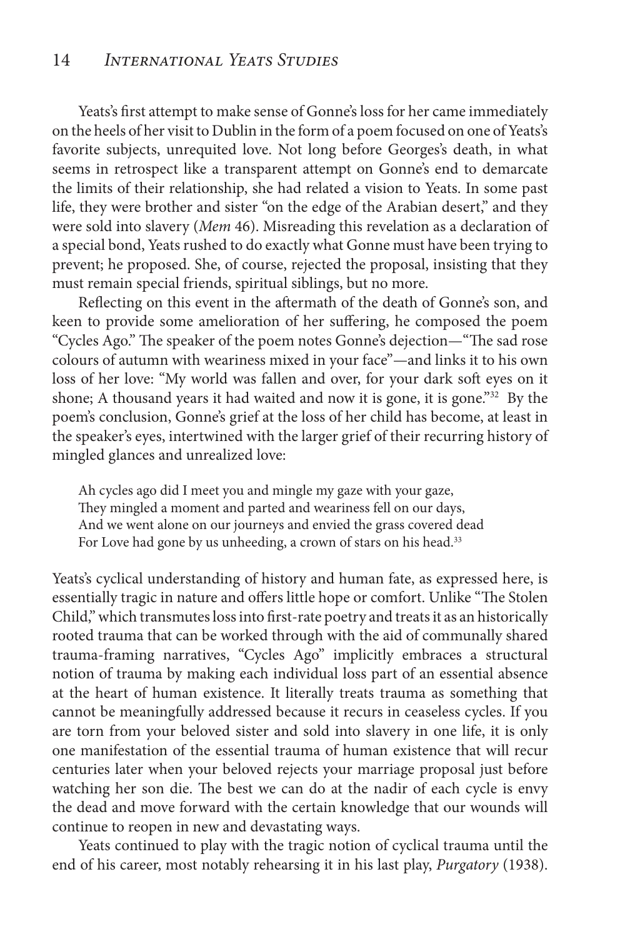Yeats's first attempt to make sense of Gonne's loss for her came immediately on the heels of her visit to Dublin in the form of a poem focused on one of Yeats's favorite subjects, unrequited love. Not long before Georges's death, in what seems in retrospect like a transparent attempt on Gonne's end to demarcate the limits of their relationship, she had related a vision to Yeats. In some past life, they were brother and sister "on the edge of the Arabian desert," and they were sold into slavery (*Mem* 46). Misreading this revelation as a declaration of a special bond, Yeats rushed to do exactly what Gonne must have been trying to prevent; he proposed. She, of course, rejected the proposal, insisting that they must remain special friends, spiritual siblings, but no more.

Reflecting on this event in the aftermath of the death of Gonne's son, and keen to provide some amelioration of her suffering, he composed the poem "Cycles Ago." The speaker of the poem notes Gonne's dejection—"The sad rose colours of autumn with weariness mixed in your face"—and links it to his own loss of her love: "My world was fallen and over, for your dark soft eyes on it shone; A thousand years it had waited and now it is gone, it is gone."<sup>32</sup> By the poem's conclusion, Gonne's grief at the loss of her child has become, at least in the speaker's eyes, intertwined with the larger grief of their recurring history of mingled glances and unrealized love:

Ah cycles ago did I meet you and mingle my gaze with your gaze, They mingled a moment and parted and weariness fell on our days, And we went alone on our journeys and envied the grass covered dead For Love had gone by us unheeding, a crown of stars on his head.<sup>33</sup>

Yeats's cyclical understanding of history and human fate, as expressed here, is essentially tragic in nature and offers little hope or comfort. Unlike "The Stolen Child," which transmutes loss into first-rate poetry and treats it as an historically rooted trauma that can be worked through with the aid of communally shared trauma-framing narratives, "Cycles Ago" implicitly embraces a structural notion of trauma by making each individual loss part of an essential absence at the heart of human existence. It literally treats trauma as something that cannot be meaningfully addressed because it recurs in ceaseless cycles. If you are torn from your beloved sister and sold into slavery in one life, it is only one manifestation of the essential trauma of human existence that will recur centuries later when your beloved rejects your marriage proposal just before watching her son die. The best we can do at the nadir of each cycle is envy the dead and move forward with the certain knowledge that our wounds will continue to reopen in new and devastating ways.

Yeats continued to play with the tragic notion of cyclical trauma until the end of his career, most notably rehearsing it in his last play, *Purgatory* (1938).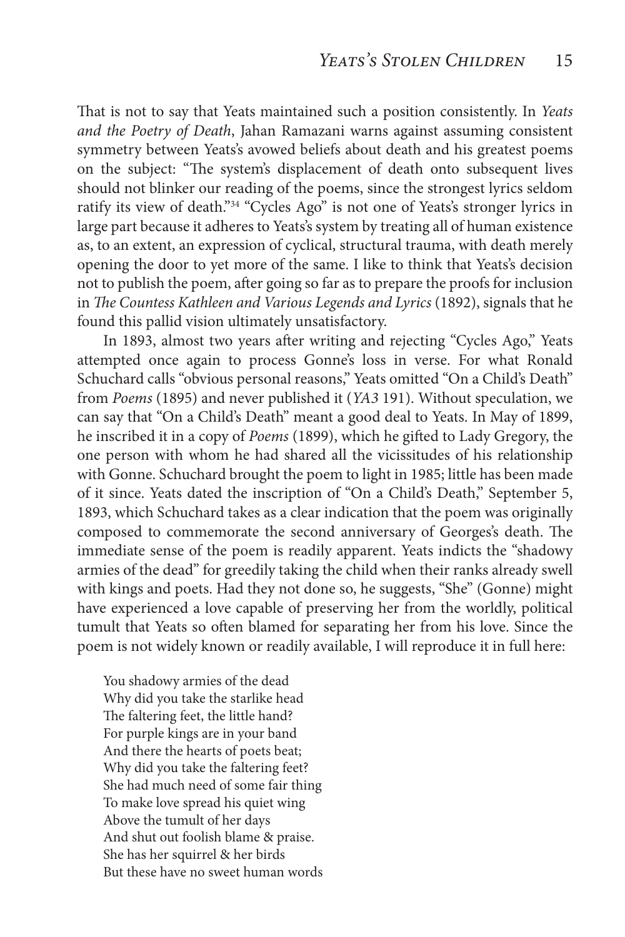That is not to say that Yeats maintained such a position consistently. In *Yeats and the Poetry of Death*, Jahan Ramazani warns against assuming consistent symmetry between Yeats's avowed beliefs about death and his greatest poems on the subject: "The system's displacement of death onto subsequent lives should not blinker our reading of the poems, since the strongest lyrics seldom ratify its view of death."34 "Cycles Ago" is not one of Yeats's stronger lyrics in large part because it adheres to Yeats's system by treating all of human existence as, to an extent, an expression of cyclical, structural trauma, with death merely opening the door to yet more of the same. I like to think that Yeats's decision not to publish the poem, after going so far as to prepare the proofs for inclusion in *The Countess Kathleen and Various Legends and Lyrics* (1892), signals that he found this pallid vision ultimately unsatisfactory.

In 1893, almost two years after writing and rejecting "Cycles Ago," Yeats attempted once again to process Gonne's loss in verse. For what Ronald Schuchard calls "obvious personal reasons," Yeats omitted "On a Child's Death" from *Poems* (1895) and never published it (*YA3* 191). Without speculation, we can say that "On a Child's Death" meant a good deal to Yeats. In May of 1899, he inscribed it in a copy of *Poems* (1899), which he gifted to Lady Gregory, the one person with whom he had shared all the vicissitudes of his relationship with Gonne. Schuchard brought the poem to light in 1985; little has been made of it since. Yeats dated the inscription of "On a Child's Death," September 5, 1893, which Schuchard takes as a clear indication that the poem was originally composed to commemorate the second anniversary of Georges's death. The immediate sense of the poem is readily apparent. Yeats indicts the "shadowy armies of the dead" for greedily taking the child when their ranks already swell with kings and poets. Had they not done so, he suggests, "She" (Gonne) might have experienced a love capable of preserving her from the worldly, political tumult that Yeats so often blamed for separating her from his love. Since the poem is not widely known or readily available, I will reproduce it in full here:

You shadowy armies of the dead Why did you take the starlike head The faltering feet, the little hand? For purple kings are in your band And there the hearts of poets beat; Why did you take the faltering feet? She had much need of some fair thing To make love spread his quiet wing Above the tumult of her days And shut out foolish blame & praise. She has her squirrel & her birds But these have no sweet human words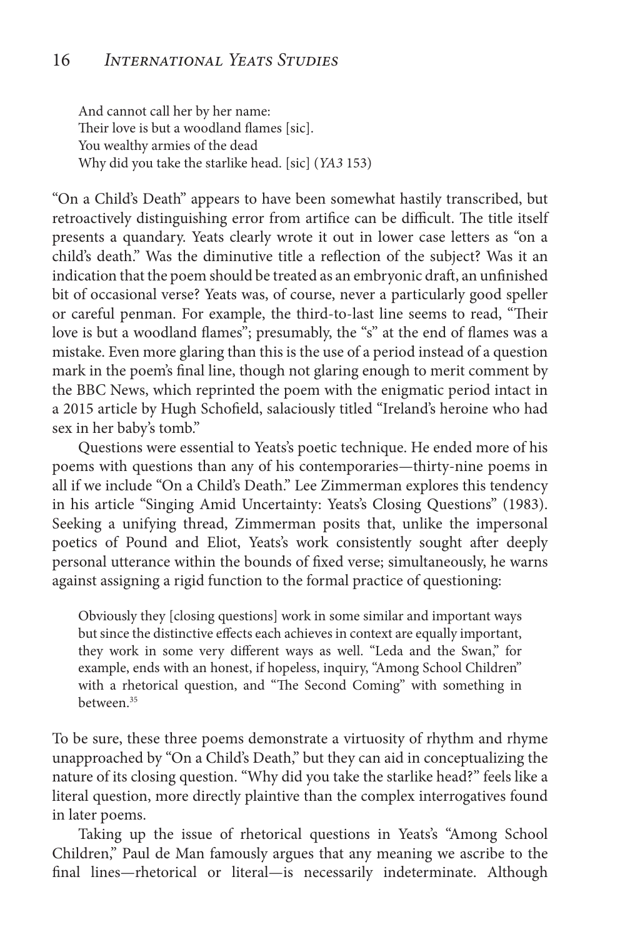And cannot call her by her name: Their love is but a woodland flames [sic]. You wealthy armies of the dead Why did you take the starlike head. [sic] (*YA3* 153)

"On a Child's Death" appears to have been somewhat hastily transcribed, but retroactively distinguishing error from artifice can be difficult. The title itself presents a quandary. Yeats clearly wrote it out in lower case letters as "on a child's death." Was the diminutive title a reflection of the subject? Was it an indication that the poem should be treated as an embryonic draft, an unfinished bit of occasional verse? Yeats was, of course, never a particularly good speller or careful penman. For example, the third-to-last line seems to read, "Their love is but a woodland flames"; presumably, the "s" at the end of flames was a mistake. Even more glaring than this is the use of a period instead of a question mark in the poem's final line, though not glaring enough to merit comment by the BBC News, which reprinted the poem with the enigmatic period intact in a 2015 article by Hugh Schofield, salaciously titled "Ireland's heroine who had sex in her baby's tomb."

Questions were essential to Yeats's poetic technique. He ended more of his poems with questions than any of his contemporaries—thirty-nine poems in all if we include "On a Child's Death." Lee Zimmerman explores this tendency in his article "Singing Amid Uncertainty: Yeats's Closing Questions" (1983). Seeking a unifying thread, Zimmerman posits that, unlike the impersonal poetics of Pound and Eliot, Yeats's work consistently sought after deeply personal utterance within the bounds of fixed verse; simultaneously, he warns against assigning a rigid function to the formal practice of questioning:

Obviously they [closing questions] work in some similar and important ways but since the distinctive effects each achieves in context are equally important, they work in some very different ways as well. "Leda and the Swan," for example, ends with an honest, if hopeless, inquiry, "Among School Children" with a rhetorical question, and "The Second Coming" with something in between.35

To be sure, these three poems demonstrate a virtuosity of rhythm and rhyme unapproached by "On a Child's Death," but they can aid in conceptualizing the nature of its closing question. "Why did you take the starlike head?" feels like a literal question, more directly plaintive than the complex interrogatives found in later poems.

Taking up the issue of rhetorical questions in Yeats's "Among School Children," Paul de Man famously argues that any meaning we ascribe to the final lines—rhetorical or literal—is necessarily indeterminate. Although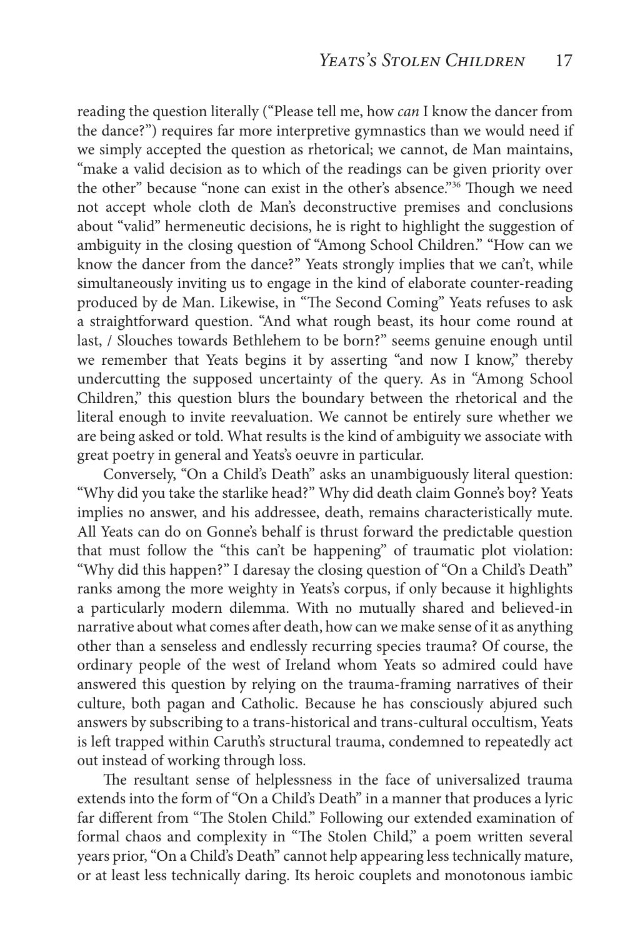reading the question literally ("Please tell me, how *can* I know the dancer from the dance?") requires far more interpretive gymnastics than we would need if we simply accepted the question as rhetorical; we cannot, de Man maintains, "make a valid decision as to which of the readings can be given priority over the other" because "none can exist in the other's absence."36 Though we need not accept whole cloth de Man's deconstructive premises and conclusions about "valid" hermeneutic decisions, he is right to highlight the suggestion of ambiguity in the closing question of "Among School Children." "How can we know the dancer from the dance?" Yeats strongly implies that we can't, while simultaneously inviting us to engage in the kind of elaborate counter-reading produced by de Man. Likewise, in "The Second Coming" Yeats refuses to ask a straightforward question. "And what rough beast, its hour come round at last, / Slouches towards Bethlehem to be born?" seems genuine enough until we remember that Yeats begins it by asserting "and now I know," thereby undercutting the supposed uncertainty of the query. As in "Among School Children," this question blurs the boundary between the rhetorical and the literal enough to invite reevaluation. We cannot be entirely sure whether we are being asked or told. What results is the kind of ambiguity we associate with great poetry in general and Yeats's oeuvre in particular.

Conversely, "On a Child's Death" asks an unambiguously literal question: "Why did you take the starlike head?" Why did death claim Gonne's boy? Yeats implies no answer, and his addressee, death, remains characteristically mute. All Yeats can do on Gonne's behalf is thrust forward the predictable question that must follow the "this can't be happening" of traumatic plot violation: "Why did this happen?" I daresay the closing question of "On a Child's Death" ranks among the more weighty in Yeats's corpus, if only because it highlights a particularly modern dilemma. With no mutually shared and believed-in narrative about what comes after death, how can we make sense of it as anything other than a senseless and endlessly recurring species trauma? Of course, the ordinary people of the west of Ireland whom Yeats so admired could have answered this question by relying on the trauma-framing narratives of their culture, both pagan and Catholic. Because he has consciously abjured such answers by subscribing to a trans-historical and trans-cultural occultism, Yeats is left trapped within Caruth's structural trauma, condemned to repeatedly act out instead of working through loss.

The resultant sense of helplessness in the face of universalized trauma extends into the form of "On a Child's Death" in a manner that produces a lyric far different from "The Stolen Child." Following our extended examination of formal chaos and complexity in "The Stolen Child," a poem written several years prior, "On a Child's Death" cannot help appearing less technically mature, or at least less technically daring. Its heroic couplets and monotonous iambic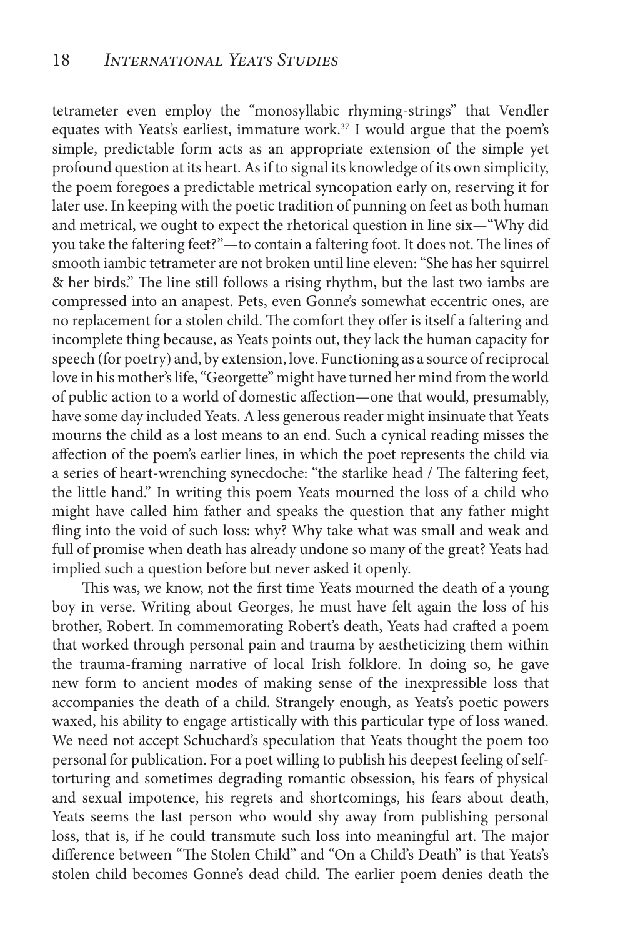tetrameter even employ the "monosyllabic rhyming-strings" that Vendler equates with Yeats's earliest, immature work.<sup>37</sup> I would argue that the poem's simple, predictable form acts as an appropriate extension of the simple yet profound question at its heart. As if to signal its knowledge of its own simplicity, the poem foregoes a predictable metrical syncopation early on, reserving it for later use. In keeping with the poetic tradition of punning on feet as both human and metrical, we ought to expect the rhetorical question in line six—"Why did you take the faltering feet?"—to contain a faltering foot. It does not. The lines of smooth iambic tetrameter are not broken until line eleven: "She has her squirrel & her birds." The line still follows a rising rhythm, but the last two iambs are compressed into an anapest. Pets, even Gonne's somewhat eccentric ones, are no replacement for a stolen child. The comfort they offer is itself a faltering and incomplete thing because, as Yeats points out, they lack the human capacity for speech (for poetry) and, by extension, love. Functioning as a source of reciprocal love in his mother's life, "Georgette" might have turned her mind from the world of public action to a world of domestic affection—one that would, presumably, have some day included Yeats. A less generous reader might insinuate that Yeats mourns the child as a lost means to an end. Such a cynical reading misses the affection of the poem's earlier lines, in which the poet represents the child via a series of heart-wrenching synecdoche: "the starlike head / The faltering feet, the little hand." In writing this poem Yeats mourned the loss of a child who might have called him father and speaks the question that any father might fling into the void of such loss: why? Why take what was small and weak and full of promise when death has already undone so many of the great? Yeats had implied such a question before but never asked it openly.

 This was, we know, not the first time Yeats mourned the death of a young boy in verse. Writing about Georges, he must have felt again the loss of his brother, Robert. In commemorating Robert's death, Yeats had crafted a poem that worked through personal pain and trauma by aestheticizing them within the trauma-framing narrative of local Irish folklore. In doing so, he gave new form to ancient modes of making sense of the inexpressible loss that accompanies the death of a child. Strangely enough, as Yeats's poetic powers waxed, his ability to engage artistically with this particular type of loss waned. We need not accept Schuchard's speculation that Yeats thought the poem too personal for publication. For a poet willing to publish his deepest feeling of selftorturing and sometimes degrading romantic obsession, his fears of physical and sexual impotence, his regrets and shortcomings, his fears about death, Yeats seems the last person who would shy away from publishing personal loss, that is, if he could transmute such loss into meaningful art. The major difference between "The Stolen Child" and "On a Child's Death" is that Yeats's stolen child becomes Gonne's dead child. The earlier poem denies death the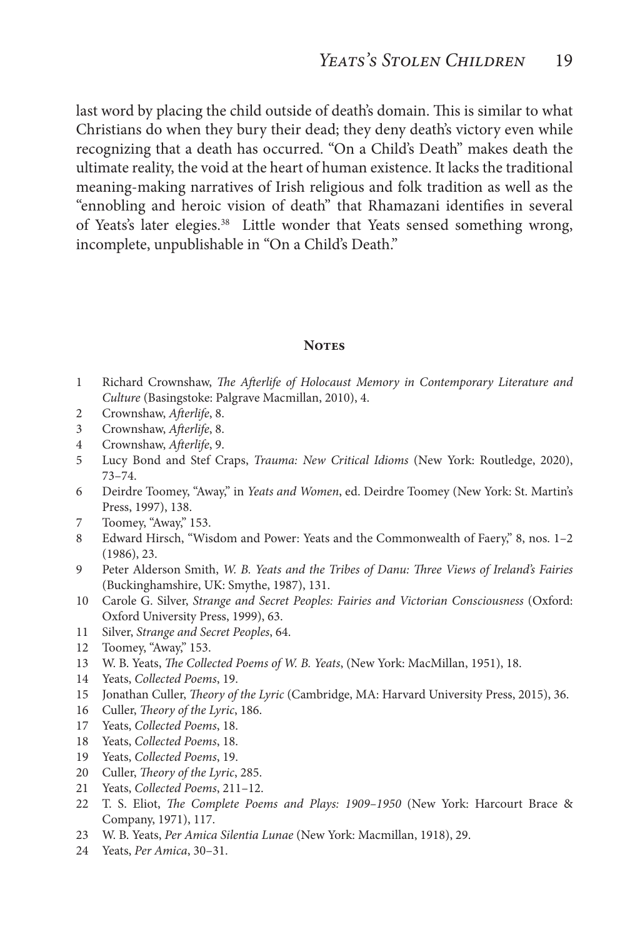last word by placing the child outside of death's domain. This is similar to what Christians do when they bury their dead; they deny death's victory even while recognizing that a death has occurred. "On a Child's Death" makes death the ultimate reality, the void at the heart of human existence. It lacks the traditional meaning-making narratives of Irish religious and folk tradition as well as the "ennobling and heroic vision of death" that Rhamazani identifies in several of Yeats's later elegies.<sup>38</sup> Little wonder that Yeats sensed something wrong, incomplete, unpublishable in "On a Child's Death."

#### **NOTES**

- 1 Richard Crownshaw, *The Afterlife of Holocaust Memory in Contemporary Literature and Culture* (Basingstoke: Palgrave Macmillan, 2010), 4.
- 2 Crownshaw, *Afterlife*, 8.
- 3 Crownshaw, *Afterlife*, 8.
- 4 Crownshaw, *Afterlife*, 9.
- 5 Lucy Bond and Stef Craps, *Trauma: New Critical Idioms* (New York: Routledge, 2020), 73–74.
- 6 Deirdre Toomey, "Away," in *Yeats and Women*, ed. Deirdre Toomey (New York: St. Martin's Press, 1997), 138.
- 7 Toomey, "Away," 153.
- 8 Edward Hirsch, "Wisdom and Power: Yeats and the Commonwealth of Faery," 8, nos. 1–2 (1986), 23.
- 9 Peter Alderson Smith, *W. B. Yeats and the Tribes of Danu: Three Views of Ireland's Fairies*  (Buckinghamshire, UK: Smythe, 1987), 131.
- 10 Carole G. Silver, *Strange and Secret Peoples: Fairies and Victorian Consciousness* (Oxford: Oxford University Press, 1999), 63.
- 11 Silver, *Strange and Secret Peoples*, 64.
- 12 Toomey, "Away," 153.
- 13 W. B. Yeats, *The Collected Poems of W. B. Yeats*, (New York: MacMillan, 1951), 18.
- 14 Yeats, *Collected Poems*, 19.
- 15 Jonathan Culler, *Theory of the Lyric* (Cambridge, MA: Harvard University Press, 2015), 36.
- 16 Culler, *Theory of the Lyric*, 186.
- 17 Yeats, *Collected Poems*, 18.
- 18 Yeats, *Collected Poems*, 18.
- 19 Yeats, *Collected Poems*, 19.
- 20 Culler, *Theory of the Lyric*, 285.
- 21 Yeats, *Collected Poems*, 211–12.
- 22 T. S. Eliot, *The Complete Poems and Plays: 1909–1950* (New York: Harcourt Brace & Company, 1971), 117.
- 23 W. B. Yeats, *Per Amica Silentia Lunae* (New York: Macmillan, 1918), 29.
- 24 Yeats, *Per Amica*, 30–31.